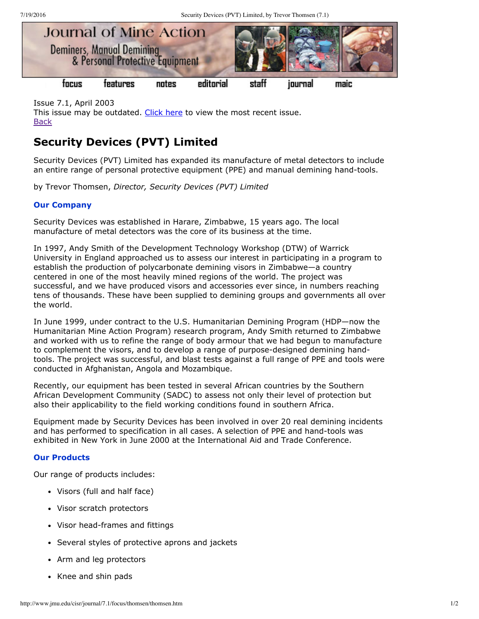

Issue 7.1, April 2003 This issue may be outdated. [Click](http://www.jmu.edu/cisr/journal/current.shtml) here to view the most recent issue. **[Back](http://www.jmu.edu/cisr/journal/7.1/index.htm)** 

# **Security Devices (PVT) Limited**

Security Devices (PVT) Limited has expanded its manufacture of metal detectors to include an entire range of personal protective equipment (PPE) and manual demining hand-tools.

by Trevor Thomsen, *Director, Security Devices (PVT) Limited*

## **Our Company**

Security Devices was established in Harare, Zimbabwe, 15 years ago. The local manufacture of metal detectors was the core of its business at the time.

In 1997, Andy Smith of the Development Technology Workshop (DTW) of Warrick University in England approached us to assess our interest in participating in a program to establish the production of polycarbonate demining visors in Zimbabwe—a country centered in one of the most heavily mined regions of the world. The project was successful, and we have produced visors and accessories ever since, in numbers reaching tens of thousands. These have been supplied to demining groups and governments all over the world.

In June 1999, under contract to the U.S. Humanitarian Demining Program (HDP—now the Humanitarian Mine Action Program) research program, Andy Smith returned to Zimbabwe and worked with us to refine the range of body armour that we had begun to manufacture to complement the visors, and to develop a range of purpose-designed demining handtools. The project was successful, and blast tests against a full range of PPE and tools were conducted in Afghanistan, Angola and Mozambique.

Recently, our equipment has been tested in several African countries by the Southern African Development Community (SADC) to assess not only their level of protection but also their applicability to the field working conditions found in southern Africa.

Equipment made by Security Devices has been involved in over 20 real demining incidents and has performed to specification in all cases. A selection of PPE and hand-tools was exhibited in New York in June 2000 at the International Aid and Trade Conference.

## **Our Products**

Our range of products includes:

- Visors (full and half face)
- Visor scratch protectors
- Visor head-frames and fittings
- Several styles of protective aprons and jackets
- Arm and leg protectors
- Knee and shin pads